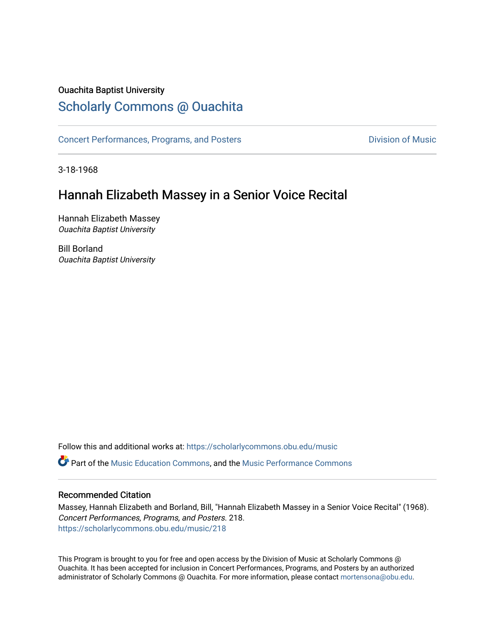### Ouachita Baptist University

## [Scholarly Commons @ Ouachita](https://scholarlycommons.obu.edu/)

[Concert Performances, Programs, and Posters](https://scholarlycommons.obu.edu/music) **Division of Music** Division of Music

3-18-1968

# Hannah Elizabeth Massey in a Senior Voice Recital

Hannah Elizabeth Massey Ouachita Baptist University

Bill Borland Ouachita Baptist University

Follow this and additional works at: [https://scholarlycommons.obu.edu/music](https://scholarlycommons.obu.edu/music?utm_source=scholarlycommons.obu.edu%2Fmusic%2F218&utm_medium=PDF&utm_campaign=PDFCoverPages)  **C** Part of the [Music Education Commons,](http://network.bepress.com/hgg/discipline/1246?utm_source=scholarlycommons.obu.edu%2Fmusic%2F218&utm_medium=PDF&utm_campaign=PDFCoverPages) and the Music Performance Commons

#### Recommended Citation

Massey, Hannah Elizabeth and Borland, Bill, "Hannah Elizabeth Massey in a Senior Voice Recital" (1968). Concert Performances, Programs, and Posters. 218. [https://scholarlycommons.obu.edu/music/218](https://scholarlycommons.obu.edu/music/218?utm_source=scholarlycommons.obu.edu%2Fmusic%2F218&utm_medium=PDF&utm_campaign=PDFCoverPages) 

This Program is brought to you for free and open access by the Division of Music at Scholarly Commons @ Ouachita. It has been accepted for inclusion in Concert Performances, Programs, and Posters by an authorized administrator of Scholarly Commons @ Ouachita. For more information, please contact [mortensona@obu.edu](mailto:mortensona@obu.edu).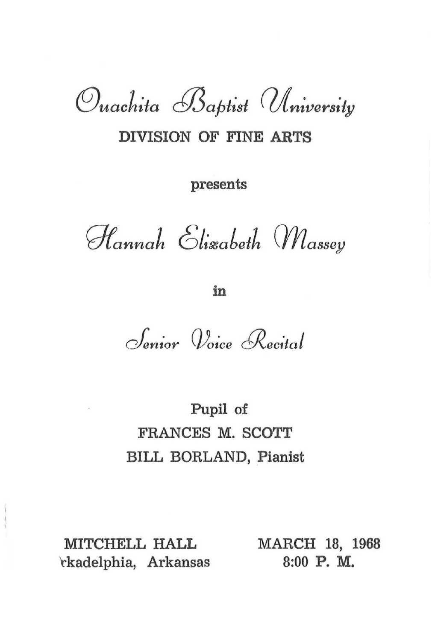Ouachita Baptist University

DIVISION OF FINE ARTS

presents

Hannah Elizabeth Massev

in

Serior Voice Recital

Pupil of FRANCES M. SCOTT BILL BORLAND, Pianist

MITCHELL HALL rkadelphia, Arkansas MARCH 18, 1968 8:00 P.M.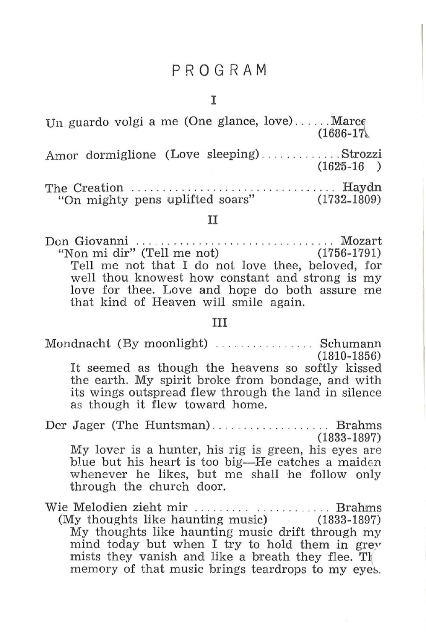#### PROGRAM

| Un guardo volgi a me (One glance, $love)$ Marc $\varepsilon$<br>$(1686 - 17)$                                                                                                                                                                            |
|----------------------------------------------------------------------------------------------------------------------------------------------------------------------------------------------------------------------------------------------------------|
| Amor dormiglione (Love sleeping)Strozzi<br>$(1625-16)$                                                                                                                                                                                                   |
|                                                                                                                                                                                                                                                          |
| п                                                                                                                                                                                                                                                        |
| "Non mi dir" (Tell me not) $(1756-1791)$<br>Tell me not that I do not love thee, beloved, for<br>well thou knowest how constant and strong is my<br>love for thee. Love and hope do both assure me<br>that kind of Heaven will smile again.              |
| ш                                                                                                                                                                                                                                                        |
| Mondnacht (By moonlight)  Schumann<br>$(1810 - 1856)$<br>It seemed as though the heavens so softly kissed<br>the earth. My spirit broke from bondage, and with<br>its wings outspread flew through the land in silence<br>as though it flew toward home. |
| Der Jager (The Huntsman) Brahms<br>$(1833 - 1897)$<br>My lover is a hunter, his rig is green, his eyes are<br>blue but his heart is too big—He catches a maiden                                                                                          |

whenever he likes, but me shall he follow only through the church door.

Wie Melodien zieht mir .......... ............... Brahms (My thoughts like haunting music) (1833-1897) My thoughts like haunting music drift through my mind today but when I try to hold them in grev mists they vanish and like a breath they flee.  $TH'$ memory of that music brings teardrops to my eyes.